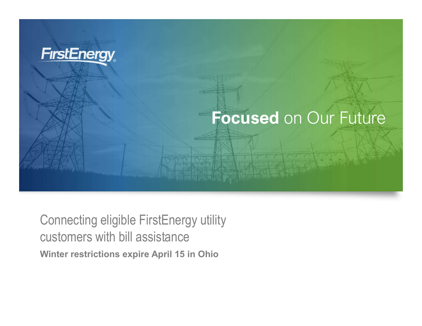

Connecting eligible FirstEnergy utility customers with bill assistance Winter restrictions expire April 15 in Ohio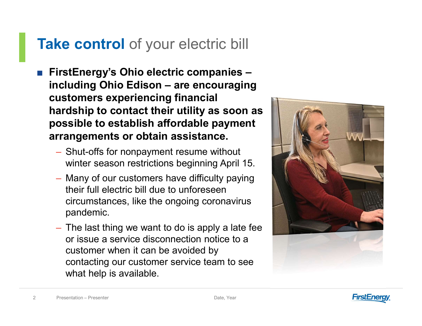# Take control of your electric bill

- FirstEnergy's Ohio electric companies ake control of your electric bill<br>FirstEnergy's Ohio electric companies –<br>including Ohio Edison – are encouraging<br>customers experiencing financial<br>hardship to contact their utility as soon as customers experiencing financial hardship to contact their utility as soon as possible to establish affordable payment arrangements or obtain assistance.
	- Shut-offs for nonpayment resume without winter season restrictions beginning April 15.
	- Many of our customers have difficulty paying their full electric bill due to unforeseen circumstances, like the ongoing coronavirus pandemic. – The last thing we want to do is apply a late fee
- or issue a service disconnection notice to a customer when it can be avoided by contacting our customer service team to see what help is available. winter season restrictions beginning April 15.<br>
– Many of our customers have difficulty paying<br>
their full electric bill due to unforeseen<br>
circumstances, like the ongoing coronavirus<br>
pandemic.<br>
– The last thing we want t



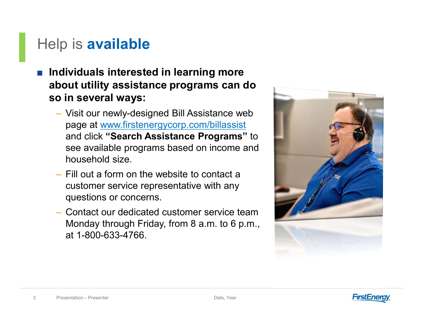### Help is **available**

- Individuals interested in learning more about utility assistance programs can do so in several ways:
	- Visit our newly-designed Bill Assistance web page at www.firstenergycorp.com/billassist and click "Search Assistance Programs" to see available programs based on income and household size.
	- Fill out a form on the website to contact a customer service representative with any questions or concerns.
- nousenoid size.<br>
 Fill out a form on the website to contact a<br>
customer service representative with any<br>
questions or concerns.<br>
 Contact our dedicated customer service team<br>
Monday through Friday, from 8 a.m. to 6 p.m., – Contact our dedicated customer service team Monday through Friday, from 8 a.m. to 6 p.m., at 1-800-633-4766.



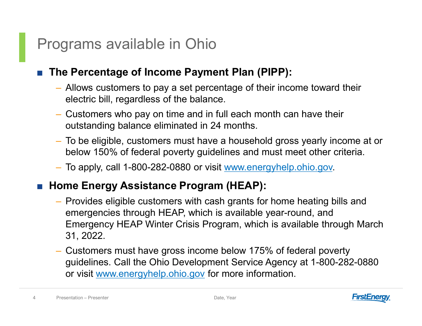### Programs available in Ohio

#### The Percentage of Income Payment Plan (PIPP):

- Allows customers to pay a set percentage of their income toward their electric bill, regardless of the balance. – Customers who pay on time and in full each month can have their
- 
- outstanding balance eliminated in 24 months. To be eligible, customers must have a household gross yearly income at or below 150% of federal poverty guidelines and must meet other criteria.
- To apply, call 1-800-282-0880 or visit www.energyhelp.ohio.gov.

### ■ Home Energy Assistance Program (HEAP):

- Το apply, call 1-800-282-0880 or visit <u>www.energyhelp.</u><br>
 **Home Energy Assistance Program (HEAP):**<br>
 Provides eligible customers with cash grants for home<br>
emergencies through HEAP, which is available year-rou<br>
Emer – Provides eligible customers with cash grants for home heating bills and emergencies through HEAP, which is available year-round, and Emergency HEAP Winter Crisis Program, which is available through March
	- 31, 2022. Customers must have gross income below 175% of federal poverty guidelines. Call the Ohio Development Service Agency at 1-800-282-0880 or visit www.energyhelp.ohio.gov for more information.

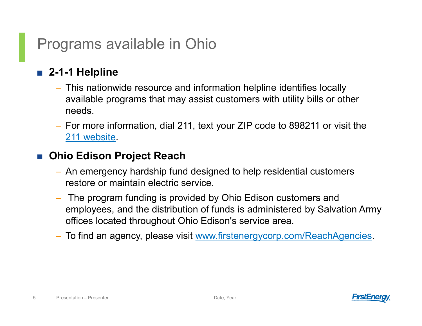# Programs available in Ohio

### ■ 2-1-1 Helpline

- This nationwide resource and information helpline identifies locally available programs that may assist customers with utility bills or other needs.
- For more information, dial 211, text your ZIP code to 898211 or visit the 211 website.

#### ■ Ohio Edison Project Reach

- An emergency hardship fund designed to help residential customers restore or maintain electric service.
- An emergency hardship fund designed to help resident<br>restore or maintain electric service.<br>- The program funding is provided by Ohio Edison custom<br>employees, and the distribution of funds is administere<br>offices located t – The program funding is provided by Ohio Edison customers and employees, and the distribution of funds is administered by Salvation Army
	- offices located throughout Ohio Edison's service area. To find an agency, please visit www.firstenergycorp.com/ReachAgencies.